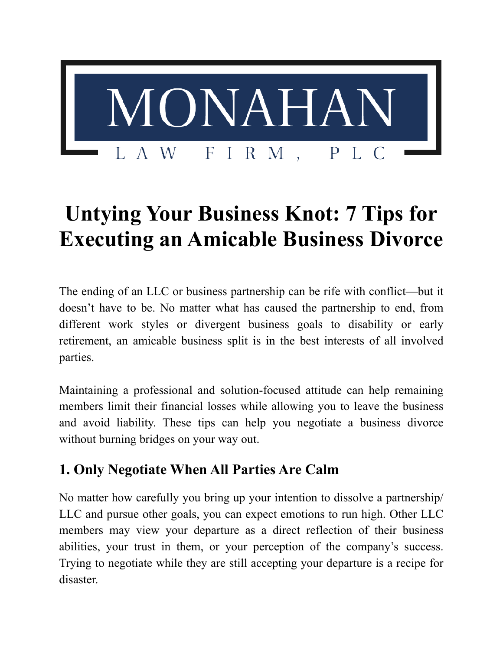

# **Untying Your Business Knot: 7 Tips for Executing an Amicable Business Divorce**

The ending of an LLC or business partnership can be rife with conflict—but it doesn't have to be. No matter what has caused the partnership to end, from different work styles or divergent business goals to disability or early retirement, an amicable business split is in the best interests of all involved parties.

Maintaining a professional and solution-focused attitude can help remaining members limit their financial losses while allowing you to leave the business and avoid liability. These tips can help you negotiate a business divorce without burning bridges on your way out.

## **1. Only Negotiate When All Parties Are Calm**

No matter how carefully you bring up your intention to dissolve a partnership/ LLC and pursue other goals, you can expect emotions to run high. Other LLC members may view your departure as a direct reflection of their business abilities, your trust in them, or your perception of the company's success. Trying to negotiate while they are still accepting your departure is a recipe for disaster.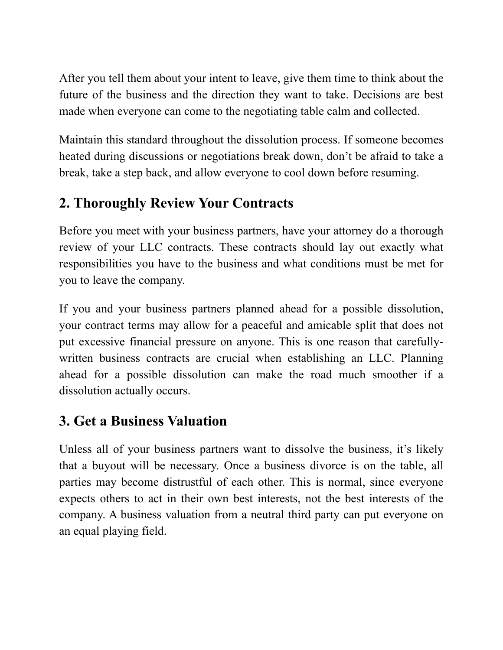After you tell them about your intent to leave, give them time to think about the future of the business and the direction they want to take. Decisions are best made when everyone can come to the negotiating table calm and collected.

Maintain this standard throughout the dissolution process. If someone becomes heated during discussions or negotiations break down, don't be afraid to take a break, take a step back, and allow everyone to cool down before resuming.

#### **2. Thoroughly Review Your Contracts**

Before you meet with your business partners, have your attorney do a thorough review of your LLC contracts. These contracts should lay out exactly what responsibilities you have to the business and what conditions must be met for you to leave the company.

If you and your business partners planned ahead for a possible dissolution, your contract terms may allow for a peaceful and amicable split that does not put excessive financial pressure on anyone. This is one reason that carefullywritten business contracts are crucial when establishing an LLC. Planning ahead for a possible dissolution can make the road much smoother if a dissolution actually occurs.

#### **3. Get a Business Valuation**

Unless all of your business partners want to dissolve the business, it's likely that a buyout will be necessary. Once a business divorce is on the table, all parties may become distrustful of each other. This is normal, since everyone expects others to act in their own best interests, not the best interests of the company. A business valuation from a neutral third party can put everyone on an equal playing field.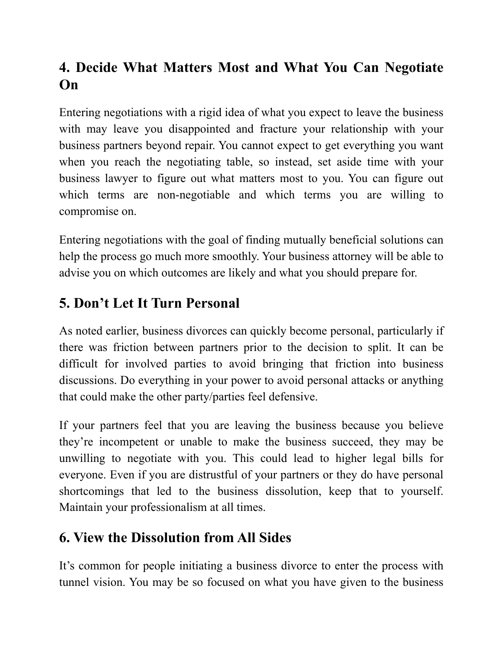# **4. Decide What Matters Most and What You Can Negotiate On**

Entering negotiations with a rigid idea of what you expect to leave the business with may leave you disappointed and fracture your relationship with your business partners beyond repair. You cannot expect to get everything you want when you reach the negotiating table, so instead, set aside time with your business lawyer to figure out what matters most to you. You can figure out which terms are non-negotiable and which terms you are willing to compromise on.

Entering negotiations with the goal of finding mutually beneficial solutions can help the process go much more smoothly. Your business attorney will be able to advise you on which outcomes are likely and what you should prepare for.

# **5. Don't Let It Turn Personal**

As noted earlier, business divorces can quickly become personal, particularly if there was friction between partners prior to the decision to split. It can be difficult for involved parties to avoid bringing that friction into business discussions. Do everything in your power to avoid personal attacks or anything that could make the other party/parties feel defensive.

If your partners feel that you are leaving the business because you believe they're incompetent or unable to make the business succeed, they may be unwilling to negotiate with you. This could lead to higher legal bills for everyone. Even if you are distrustful of your partners or they do have personal shortcomings that led to the business dissolution, keep that to yourself. Maintain your professionalism at all times.

## **6. View the Dissolution from All Sides**

It's common for people initiating a business divorce to enter the process with tunnel vision. You may be so focused on what you have given to the business